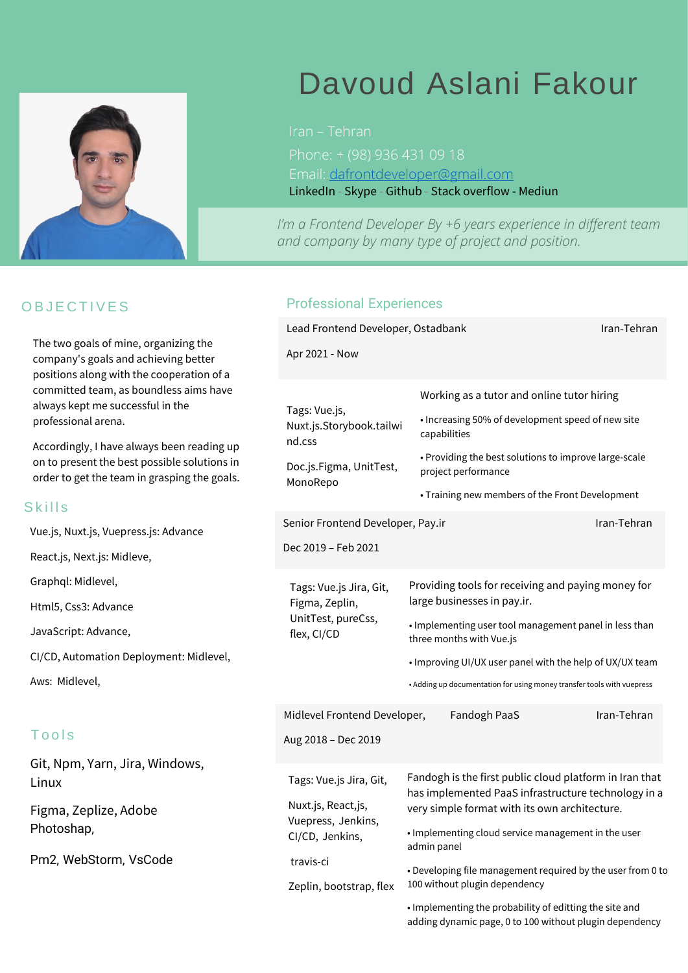

# Davoud Aslani Fakour

Iran – Tehran Email: [dafrontdeveloper@gmail.com](mailto:dafrontdeveloper@gmail.com) [LinkedIn](https://www.linkedin.com/in/davodaslanifakor/) - [Skype](https://join.skype.com/invite/ovdPCXrrkueu) - [Github](https://github.com/davodaslanifakor) - [Stack overflow](https://stackoverflow.com/users/6381510/davod-aslanifakor) - [Mediun](https://medium.com/@DavoudAslaniFakour)

n a Fro<br>nd com<br> *I'm a Frontend Developer By +6 years experience in different team and company by many type of project and position.*

# **OBJECTIVES**

The two goals of mine, organizing the company's goals and achieving better positions along with the cooperation of a committed team, as boundless aims have always kept me successful in the professional arena.

Accordingly, I have always been reading up on to present the best possible solutions in order to get the team in grasping the goals.

#### **Skills**

Vue.js, Nuxt.js, Vuepress.js: Advance

React.js, Next.js: Midleve,

Graphql: Midlevel,

Html5, Css3: Advance

JavaScript: Advance,

CI/CD, Automation Deployment: Midlevel,

Aws: Midlevel,

## **Tools**

Git, Npm, Yarn, Jira, Windows, Linux

Figma, Zeplize, Adobe Photoshap,

Pm2, WebStorm, VsCode

### Professional Experiences

| Lead Frontend Developer, Ostadbank                                                                                             | Iran-Tehran                                                                                                                                                     |             |  |
|--------------------------------------------------------------------------------------------------------------------------------|-----------------------------------------------------------------------------------------------------------------------------------------------------------------|-------------|--|
| Apr 2021 - Now                                                                                                                 |                                                                                                                                                                 |             |  |
|                                                                                                                                |                                                                                                                                                                 |             |  |
| Tags: Vue.js,<br>Nuxt.js.Storybook.tailwi<br>nd.css<br>Doc.js.Figma, UnitTest,<br>MonoRepo                                     | Working as a tutor and online tutor hiring                                                                                                                      |             |  |
|                                                                                                                                | • Increasing 50% of development speed of new site<br>capabilities                                                                                               |             |  |
|                                                                                                                                | • Providing the best solutions to improve large-scale<br>project performance                                                                                    |             |  |
|                                                                                                                                | • Training new members of the Front Development                                                                                                                 |             |  |
| Senior Frontend Developer, Pay.ir                                                                                              |                                                                                                                                                                 | Iran-Tehran |  |
| Dec 2019 - Feb 2021                                                                                                            |                                                                                                                                                                 |             |  |
| Tags: Vue.js Jira, Git,<br>Figma, Zeplin,<br>UnitTest, pureCss,<br>flex, CI/CD                                                 | Providing tools for receiving and paying money for<br>large businesses in pay.ir.                                                                               |             |  |
|                                                                                                                                | . Implementing user tool management panel in less than<br>three months with Vue.js                                                                              |             |  |
|                                                                                                                                | . Improving UI/UX user panel with the help of UX/UX team                                                                                                        |             |  |
|                                                                                                                                | • Adding up documentation for using money transfer tools with vuepress                                                                                          |             |  |
| Midlevel Frontend Developer,                                                                                                   | Fandogh PaaS                                                                                                                                                    | Iran-Tehran |  |
| Aug 2018 - Dec 2019                                                                                                            |                                                                                                                                                                 |             |  |
| Tags: Vue.js Jira, Git,<br>Nuxt.js, React,js,<br>Vuepress, Jenkins,<br>CI/CD, Jenkins,<br>travis-ci<br>Zeplin, bootstrap, flex | Fandogh is the first public cloud platform in Iran that<br>has implemented PaaS infrastructure technology in a<br>very simple format with its own architecture. |             |  |
|                                                                                                                                | . Implementing cloud service management in the user<br>admin panel                                                                                              |             |  |
|                                                                                                                                | . Developing file management required by the user from 0 to<br>100 without plugin dependency                                                                    |             |  |
|                                                                                                                                | . Implementing the probability of editting the site and<br>adding dynamic page, 0 to 100 without plugin dependency                                              |             |  |